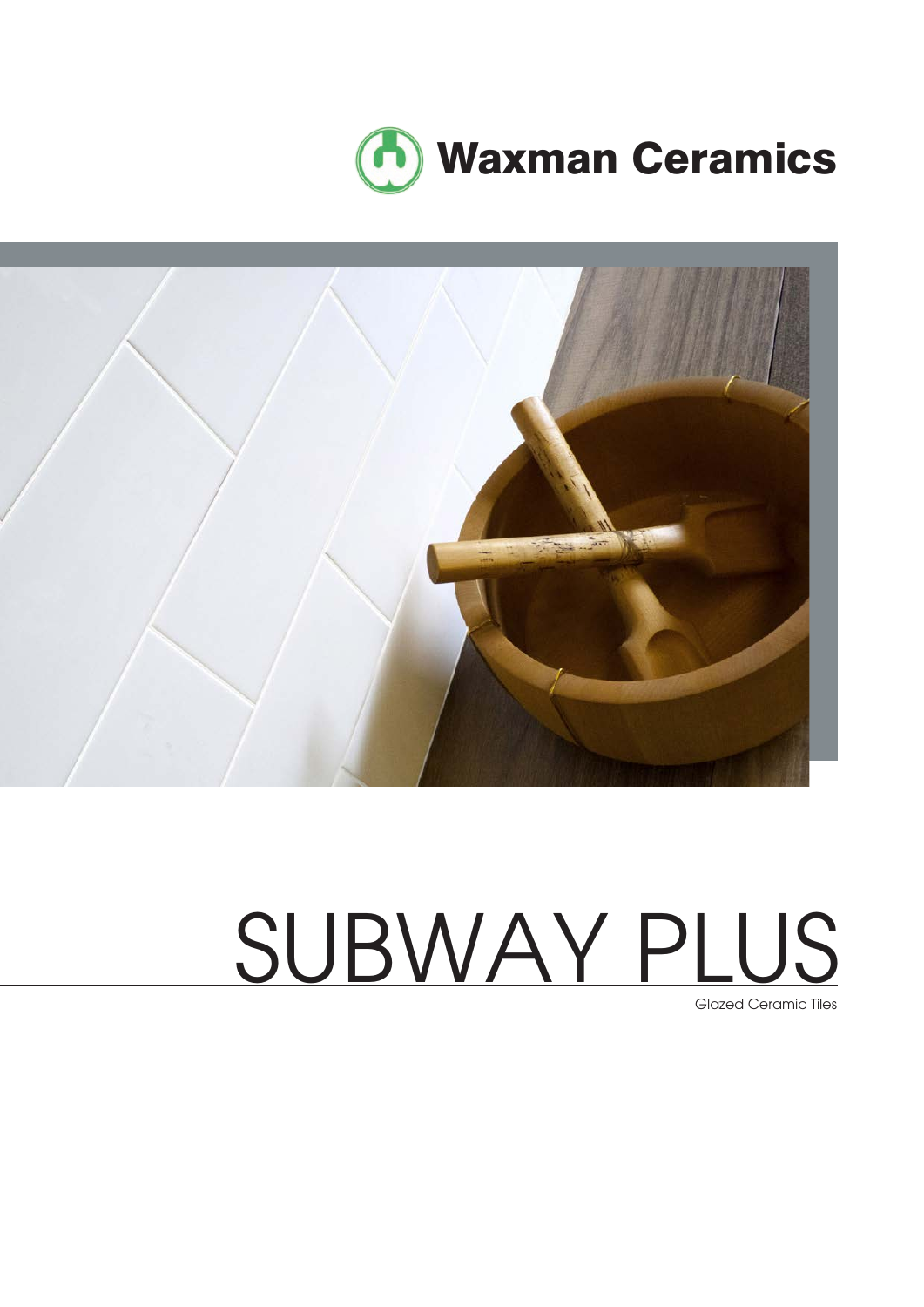



# SUBWAY PLUS

Glazed Ceramic Tiles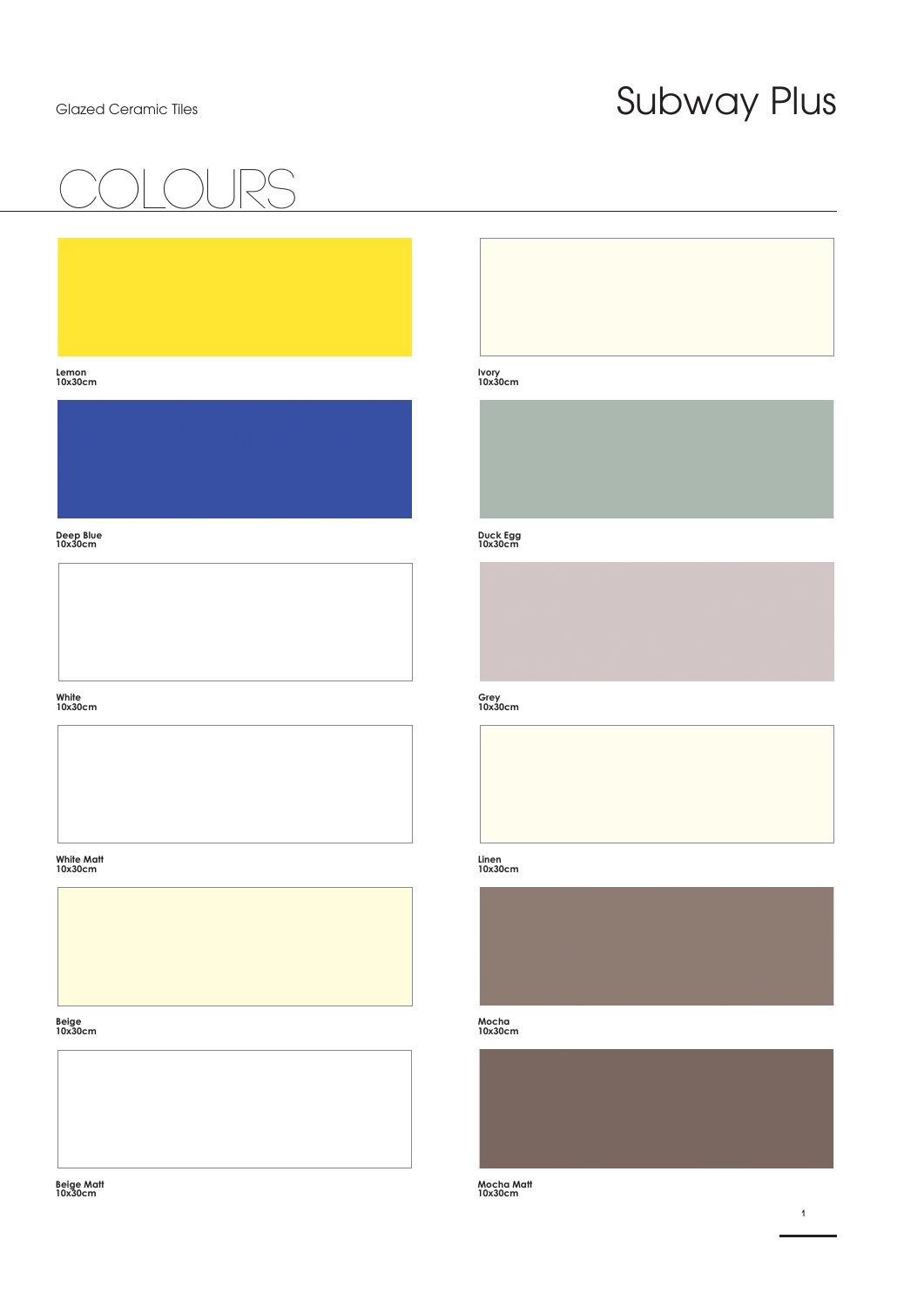## COlours

### **Lemon 10x30cm**



### **Deep Blue 10x30cm**

### **White 10x30cm**





### **Beige 10x30cm**



**Beige Matt 10x30cm**

### **Ivory 10x30cm**

### **Duck Egg 10x30cm**

### **Grey 10x30cm**

### **Linen 10x30cm**



### **Mocha 10x30cm**

### **Mocha Matt 10x30cm**

**1**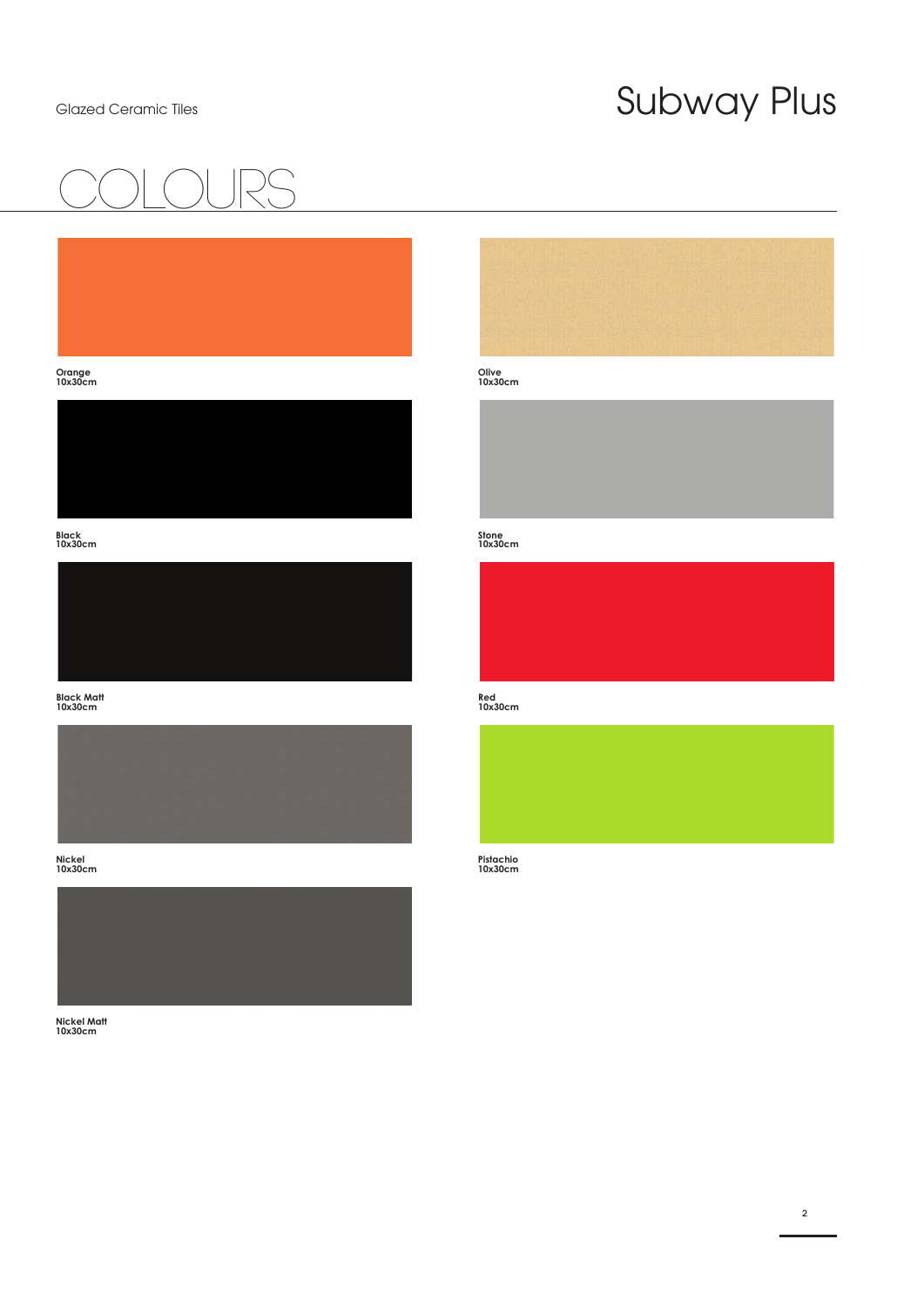## COlours

### **Orange 10x30cm**



**Black 10x30cm**



**Black Matt 10x30cm**



**Nickel 10x30cm**



**Nickel Matt 10x30cm**



### **Olive 10x30cm**

### **Stone 10x30cm**



### **Red 10x30cm**

### **Pistachio 10x30cm**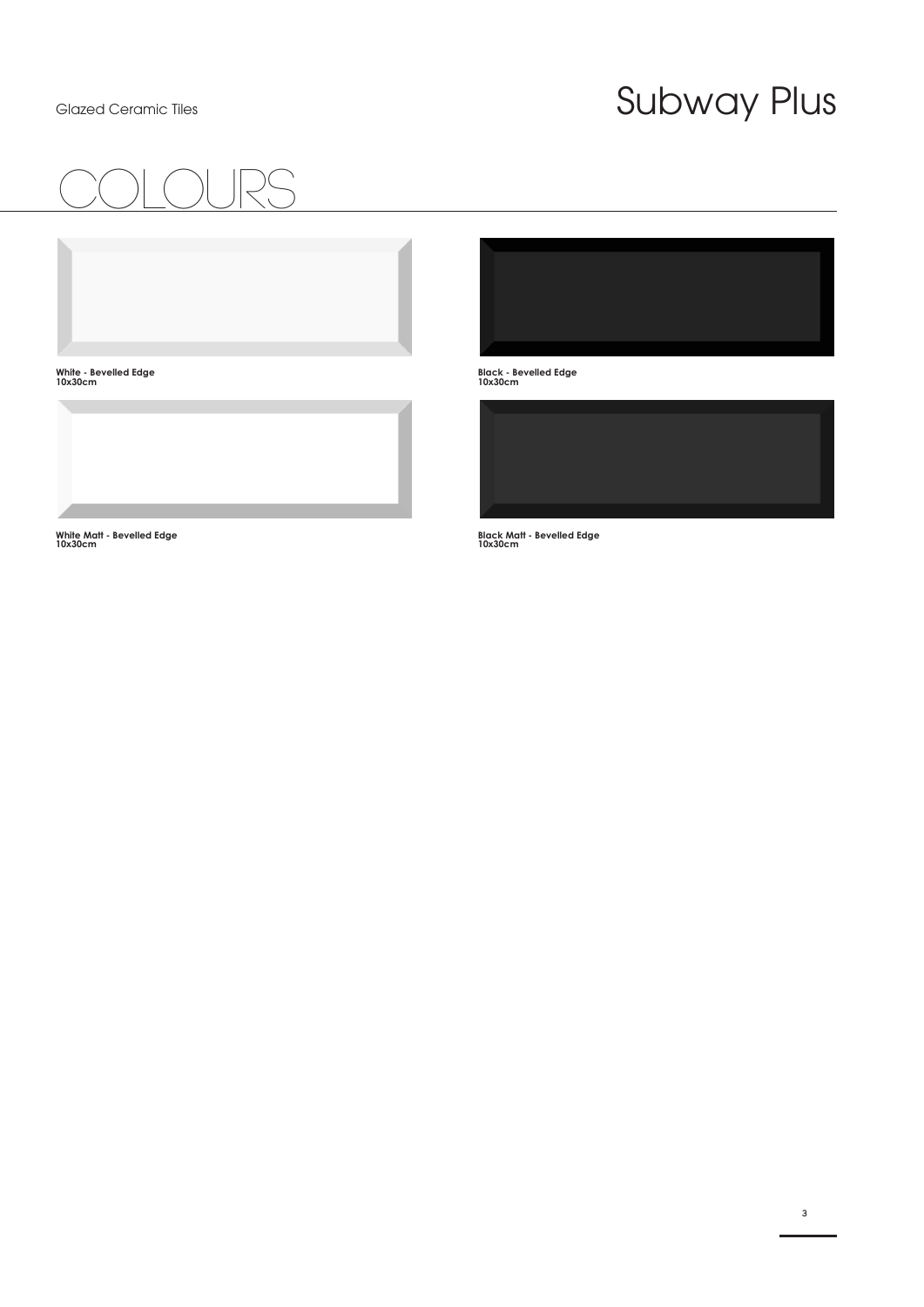## COlours

**Black - Bevelled Edge 10x30cm**



**Black Matt - Bevelled Edge 10x30cm**

**White Matt - Bevelled Edge 10x30cm**

**White - Bevelled Edge 10x30cm**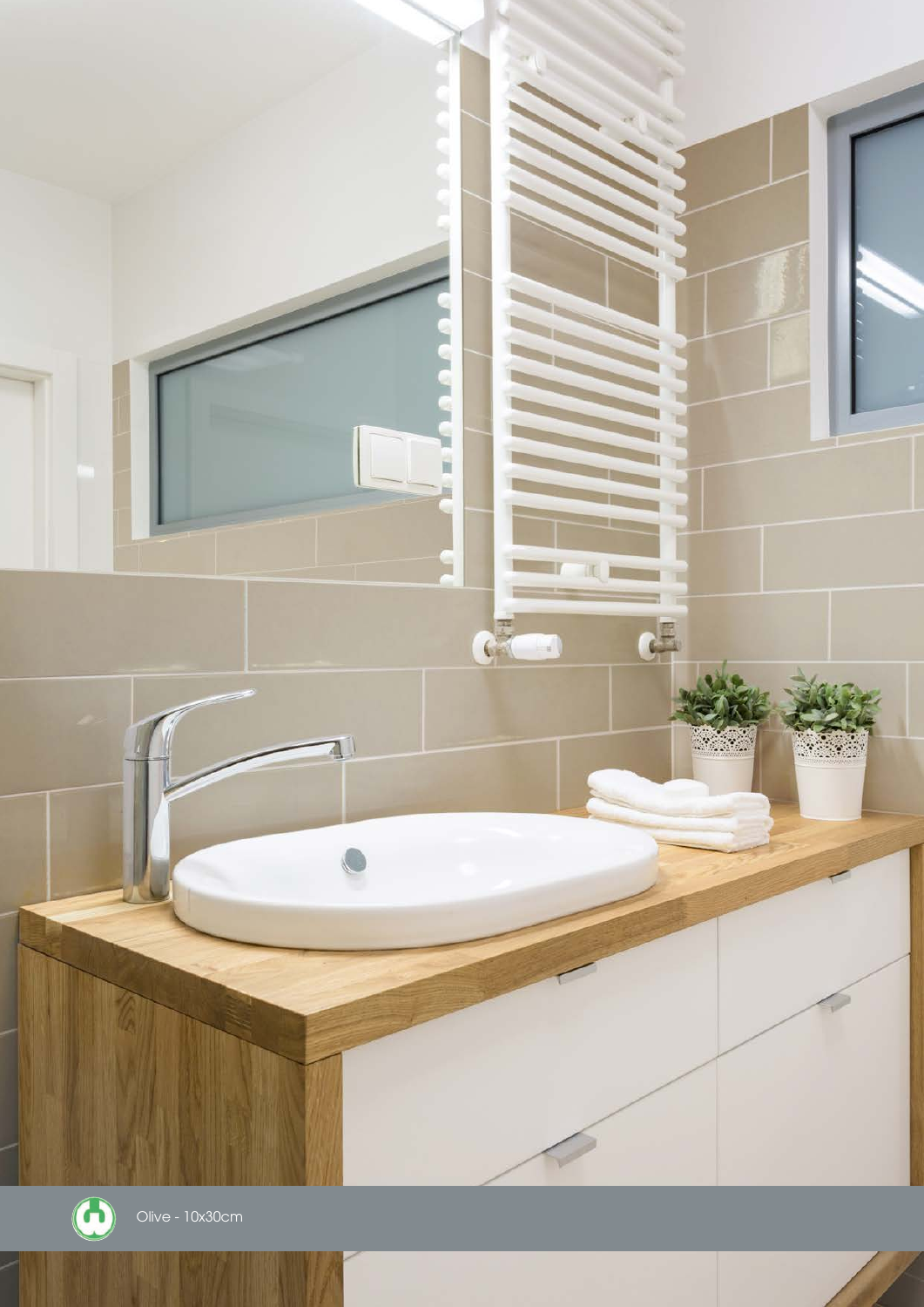

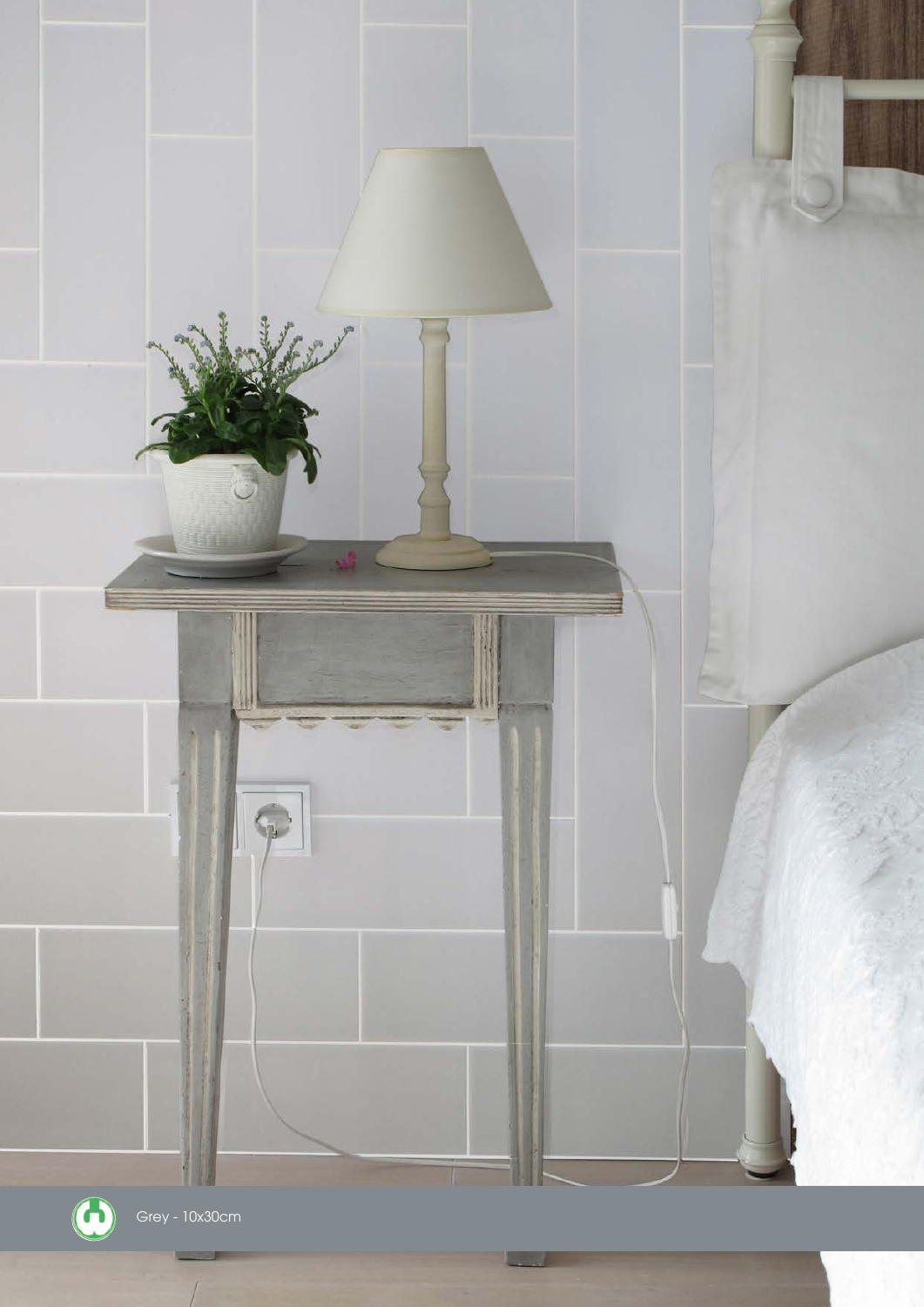

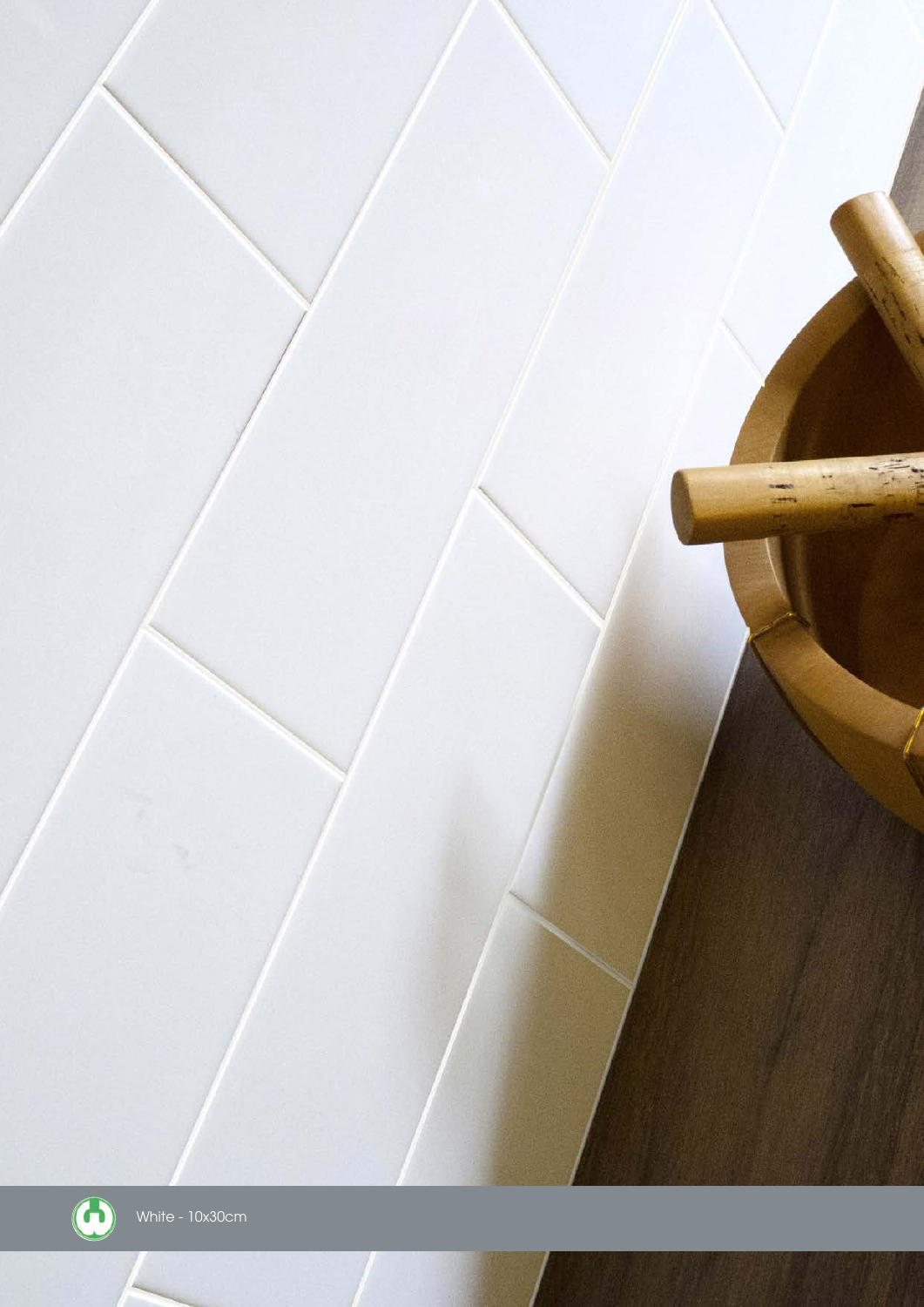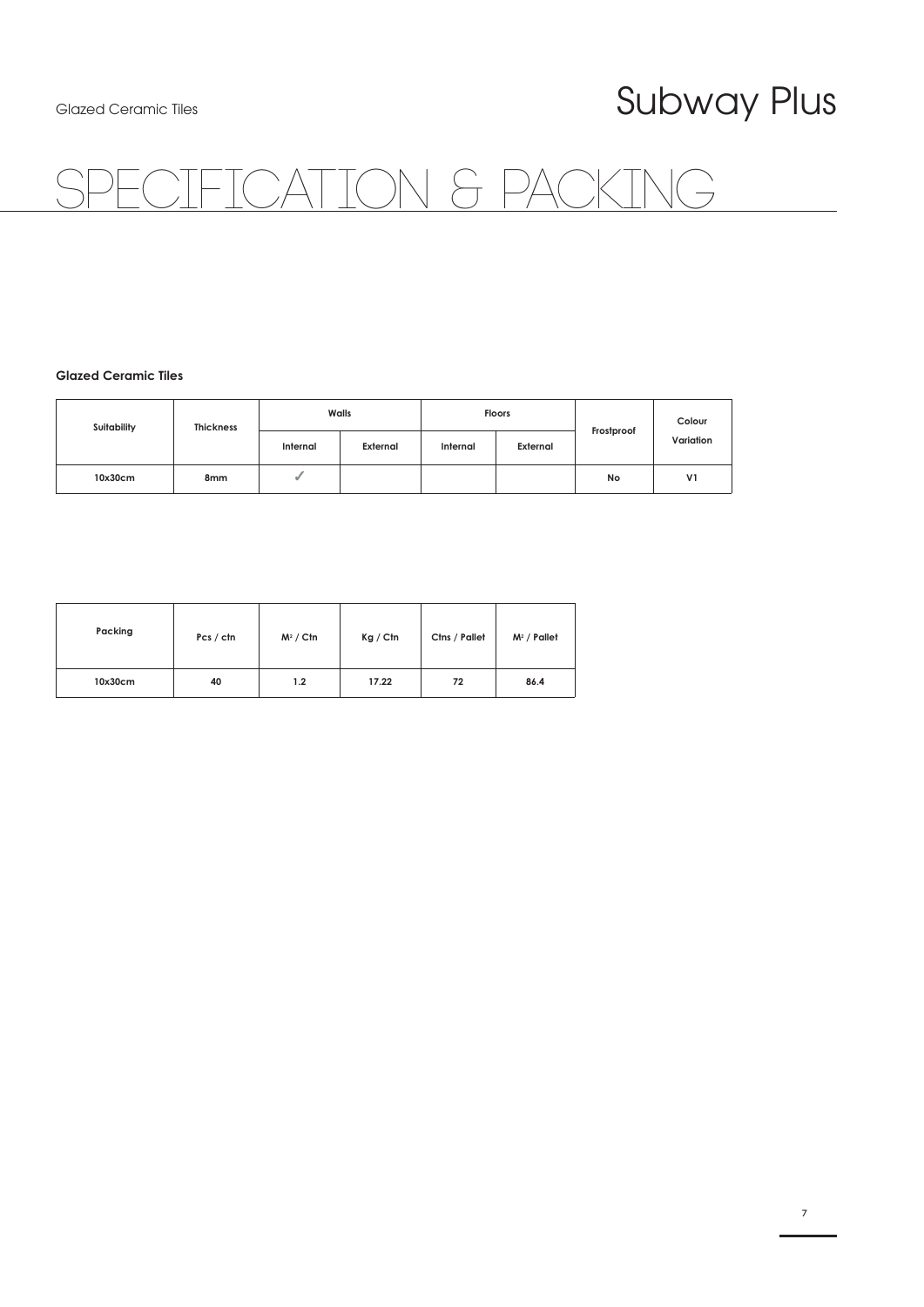## TON &

#### **Glazed Ceramic Tiles**

| Suitability | <b>Thickness</b> | Walls    |          | <b>Floors</b> |          |            | Colour         |
|-------------|------------------|----------|----------|---------------|----------|------------|----------------|
|             |                  | Internal | External | Internal      | External | Frostproof | Variation      |
| 10x30cm     | 8 <sub>mm</sub>  |          |          |               |          | No         | V <sub>1</sub> |

| Packing | Pcs / ctn | $M^2 /$ Ctn | Kg / Ctn | Ctns / Pallet | $M^2$ / Pallet |
|---------|-----------|-------------|----------|---------------|----------------|
| 10x30cm | 40        | 1.2         | 17.22    | 72            | 86.4           |